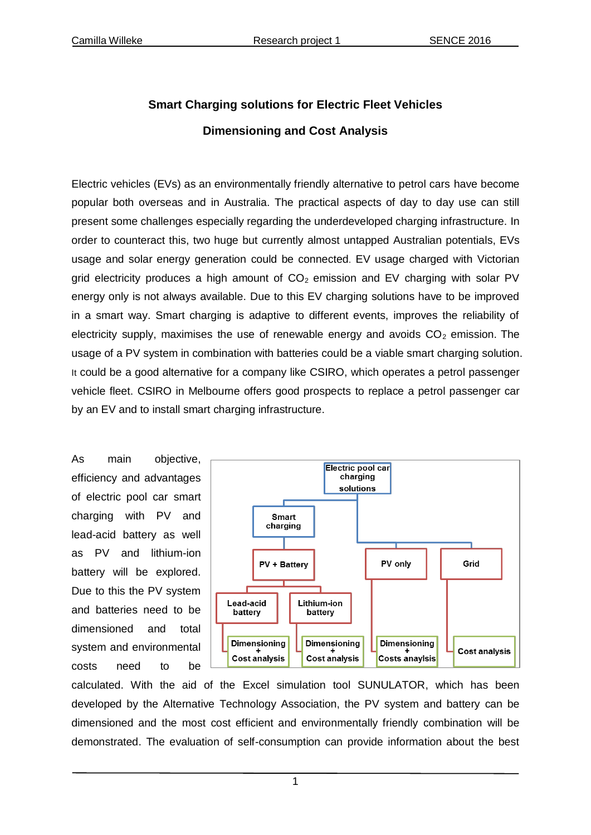## **Smart Charging solutions for Electric Fleet Vehicles Dimensioning and Cost Analysis**

Electric vehicles (EVs) as an environmentally friendly alternative to petrol cars have become popular both overseas and in Australia. The practical aspects of day to day use can still present some challenges especially regarding the underdeveloped charging infrastructure. In order to counteract this, two huge but currently almost untapped Australian potentials, EVs usage and solar energy generation could be connected. EV usage charged with Victorian grid electricity produces a high amount of  $CO<sub>2</sub>$  emission and EV charging with solar PV energy only is not always available. Due to this EV charging solutions have to be improved in a smart way. Smart charging is adaptive to different events, improves the reliability of electricity supply, maximises the use of renewable energy and avoids  $CO<sub>2</sub>$  emission. The usage of a PV system in combination with batteries could be a viable smart charging solution. It could be a good alternative for a company like CSIRO, which operates a petrol passenger vehicle fleet. CSIRO in Melbourne offers good prospects to replace a petrol passenger car by an EV and to install smart charging infrastructure.

As main objective, efficiency and advantages of electric pool car smart charging with PV and lead-acid battery as well as PV and lithium-ion battery will be explored. Due to this the PV system and batteries need to be dimensioned and total system and environmental costs need to be



calculated. With the aid of the Excel simulation tool SUNULATOR, which has been developed by the Alternative Technology Association, the PV system and battery can be dimensioned and the most cost efficient and environmentally friendly combination will be demonstrated. The evaluation of self-consumption can provide information about the best

1